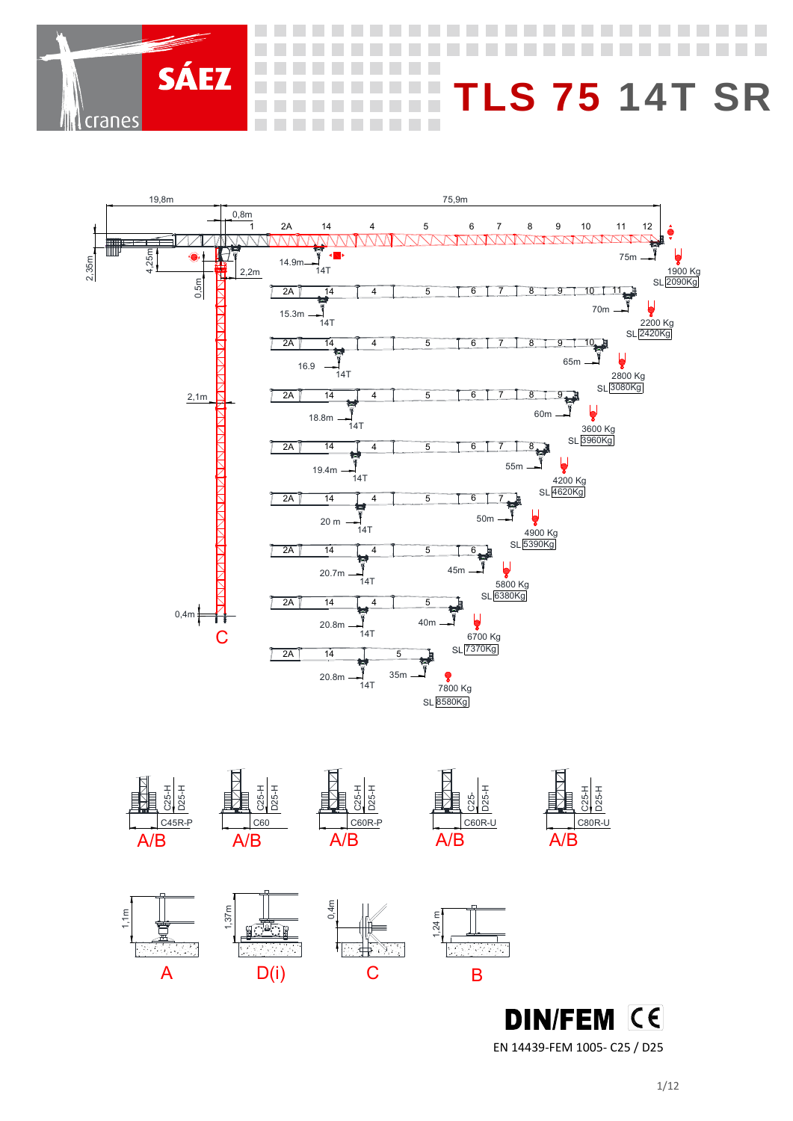



EN 14439‐FEM 1005‐ C25 / D25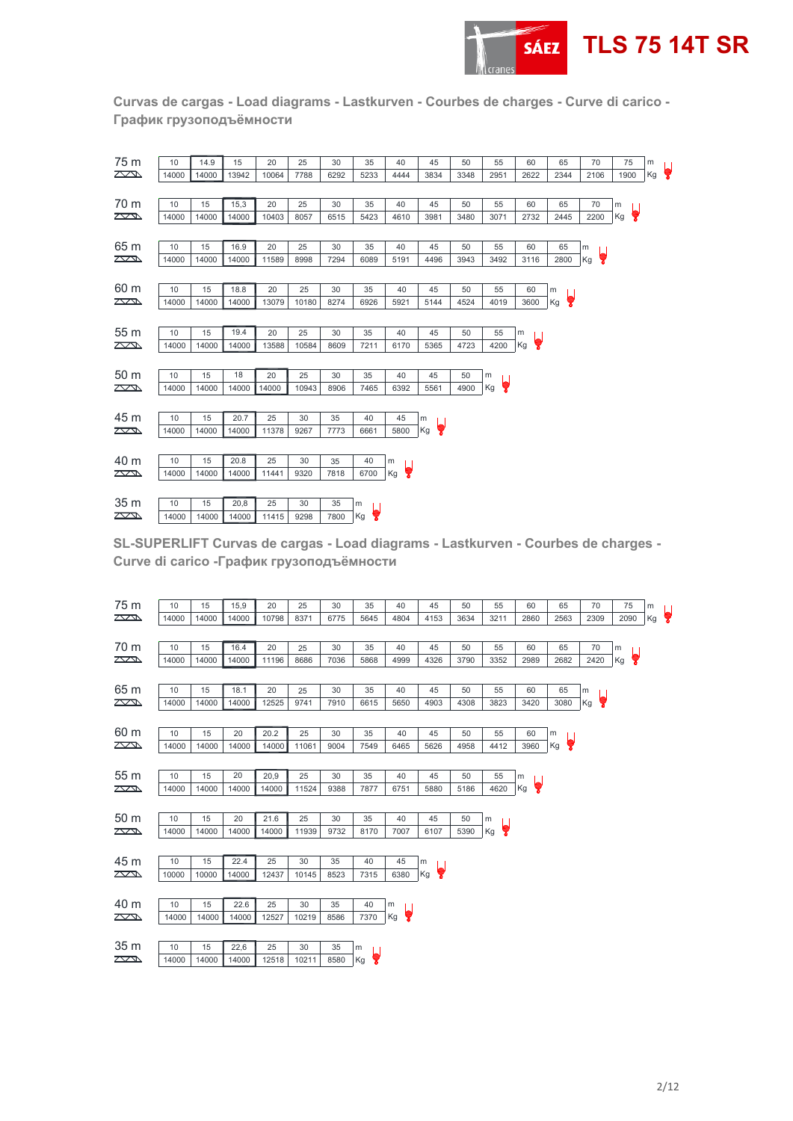

**Curvas de cargas - Load diagrams - Lastkurven - Courbes de charges - Curve di carico - График грузоподъёмности** 

| 75 m                    | 10    | 14.9  | 15    | 20    | 25    | 30   | 35   | 40      | 45      | 50   | 55      | 60      | 65      | 70      | 75      | m  |                      |
|-------------------------|-------|-------|-------|-------|-------|------|------|---------|---------|------|---------|---------|---------|---------|---------|----|----------------------|
| $\sum$                  | 14000 | 14000 | 13942 | 10064 | 7788  | 6292 | 5233 | 4444    | 3834    | 3348 | 2951    | 2622    | 2344    | 2106    | 1900    | Kg | $\overline{\bullet}$ |
|                         |       |       |       |       |       |      |      |         |         |      |         |         |         |         |         |    |                      |
| 70 m                    | 10    | 15    | 15,3  | 20    | 25    | 30   | 35   | 40      | 45      | 50   | 55      | 60      | 65      | 70      | m       |    |                      |
| $\sum$                  | 14000 | 14000 | 14000 | 10403 | 8057  | 6515 | 5423 | 4610    | 3981    | 3480 | 3071    | 2732    | 2445    | 2200    | ę<br>Kg |    |                      |
|                         |       |       |       |       |       |      |      |         |         |      |         |         |         |         |         |    |                      |
| 65 m                    | 10    | 15    | 16.9  | 20    | 25    | 30   | 35   | 40      | 45      | 50   | 55      | 60      | 65      | m       |         |    |                      |
| $\mathbb{Z}$            | 14000 | 14000 | 14000 | 11589 | 8998  | 7294 | 6089 | 5191    | 4496    | 3943 | 3492    | 3116    | 2800    | ę<br>Kg |         |    |                      |
|                         |       |       |       |       |       |      |      |         |         |      |         |         |         |         |         |    |                      |
| 60 m                    | 10    | 15    | 18.8  | 20    | 25    | 30   | 35   | 40      | 45      | 50   | 55      | 60      | m       |         |         |    |                      |
| $\mathbb{Z}$            | 14000 | 14000 | 14000 | 13079 | 10180 | 8274 | 6926 | 5921    | 5144    | 4524 | 4019    | 3600    | 9<br>Kg |         |         |    |                      |
|                         |       |       |       |       |       |      |      |         |         |      |         |         |         |         |         |    |                      |
| 55 m                    | 10    | 15    | 19.4  | 20    | 25    | 30   | 35   | 40      | 45      | 50   | 55      | m       |         |         |         |    |                      |
| $\sum$                  | 14000 | 14000 | 14000 | 13588 | 10584 | 8609 | 7211 | 6170    | 5365    | 4723 | 4200    | 9<br>Kg |         |         |         |    |                      |
|                         |       |       |       |       |       |      |      |         |         |      |         |         |         |         |         |    |                      |
| 50 m                    | 10    | 15    | 18    | 20    | 25    | 30   | 35   | 40      | 45      | 50   | m       |         |         |         |         |    |                      |
| $\sqrt{2}$              | 14000 | 14000 | 14000 | 14000 | 10943 | 8906 | 7465 | 6392    | 5561    | 4900 | Kg<br>7 |         |         |         |         |    |                      |
|                         |       |       |       |       |       |      |      |         |         |      |         |         |         |         |         |    |                      |
| 45 m                    | 10    | 15    | 20.7  | 25    | 30    | 35   | 40   | 45      | m       |      |         |         |         |         |         |    |                      |
| $\mathbb{Z}$            | 14000 | 14000 | 14000 | 11378 | 9267  | 7773 | 6661 | 5800    | ę<br>Kg |      |         |         |         |         |         |    |                      |
|                         |       |       |       |       |       |      |      |         |         |      |         |         |         |         |         |    |                      |
| 40 m                    | 10    | 15    | 20.8  | 25    | 30    | 35   | 40   | m       |         |      |         |         |         |         |         |    |                      |
| $\sum$                  | 14000 | 14000 | 14000 | 11441 | 9320  | 7818 | 6700 | 7<br>Kg |         |      |         |         |         |         |         |    |                      |
|                         |       |       |       |       |       |      |      |         |         |      |         |         |         |         |         |    |                      |
| 35 m                    | 10    | 15    | 20,8  | 25    | 30    | 35   | m    |         |         |      |         |         |         |         |         |    |                      |
| $\overline{\mathbb{Z}}$ | 14000 | 14000 | 14000 | 11415 | 9298  | 7800 | Kg   |         |         |      |         |         |         |         |         |    |                      |

**SL-SUPERLIFT Curvas de cargas - Load diagrams - Lastkurven - Courbes de charges - Curve di carico -График грузоподъёмности** 

| 75 m            | 10    | 15    | 15,9  | 20    | 25    | 30   | 35      | 40      | 45      | 50   | 55      | 60      | 65      | 70      | 75        | m  |   |
|-----------------|-------|-------|-------|-------|-------|------|---------|---------|---------|------|---------|---------|---------|---------|-----------|----|---|
| $\sum$          | 14000 | 14000 | 14000 | 10798 | 8371  | 6775 | 5645    | 4804    | 4153    | 3634 | 3211    | 2860    | 2563    | 2309    | 2090      | Kg | Y |
|                 |       |       |       |       |       |      |         |         |         |      |         |         |         |         |           |    |   |
| 70 m            | 10    | 15    | 16.4  | 20    | 25    | 30   | 35      | 40      | 45      | 50   | 55      | 60      | 65      | 70      | ${\sf m}$ |    |   |
| $\mathbb{Z}$    | 14000 | 14000 | 14000 | 11196 | 8686  | 7036 | 5868    | 4999    | 4326    | 3790 | 3352    | 2989    | 2682    | 2420    | Кg        | 9  |   |
|                 |       |       |       |       |       |      |         |         |         |      |         |         |         |         |           |    |   |
| 65 m            | 10    | 15    | 18.1  | 20    | 25    | 30   | 35      | 40      | 45      | 50   | 55      | 60      | 65      | m       |           |    |   |
| $\sum$          | 14000 | 14000 | 14000 | 12525 | 9741  | 7910 | 6615    | 5650    | 4903    | 4308 | 3823    | 3420    | 3080    | 7<br>Kg |           |    |   |
|                 |       |       |       |       |       |      |         |         |         |      |         |         |         |         |           |    |   |
| 60 m            | 10    | 15    | 20    | 20.2  | 25    | 30   | 35      | 40      | 45      | 50   | 55      | 60      | m       |         |           |    |   |
| $\mathbb{Z}$    | 14000 | 14000 | 14000 | 14000 | 11061 | 9004 | 7549    | 6465    | 5626    | 4958 | 4412    | 3960    | Ų<br>Kg |         |           |    |   |
|                 |       |       |       |       |       |      |         |         |         |      |         |         |         |         |           |    |   |
| 55 m            | 10    | 15    | 20    | 20,9  | 25    | 30   | 35      | 40      | 45      | 50   | 55      | m       |         |         |           |    |   |
| $\mathbb{Z}$    | 14000 | 14000 | 14000 | 14000 | 11524 | 9388 | 7877    | 6751    | 5880    | 5186 | 4620    | ç<br>Kg |         |         |           |    |   |
|                 |       |       |       |       |       |      |         |         |         |      |         |         |         |         |           |    |   |
| 50 m            | 10    | 15    | 20    | 21.6  | 25    | 30   | 35      | 40      | 45      | 50   | m       |         |         |         |           |    |   |
| $\mathbb{Z}$    | 14000 | 14000 | 14000 | 14000 | 11939 | 9732 | 8170    | 7007    | 6107    | 5390 | 7<br>Kg |         |         |         |           |    |   |
|                 |       |       |       |       |       |      |         |         |         |      |         |         |         |         |           |    |   |
| 45 m            | 10    | 15    | 22.4  | 25    | 30    | 35   | 40      | 45      | m       |      |         |         |         |         |           |    |   |
| $\mathbb{Z}$    | 10000 | 10000 | 14000 | 12437 | 10145 | 8523 | 7315    | 6380    | Y<br>Kg |      |         |         |         |         |           |    |   |
|                 |       |       |       |       |       |      |         |         |         |      |         |         |         |         |           |    |   |
| 40 m            | 10    | 15    | 22.6  | 25    | 30    | 35   | 40      | m       |         |      |         |         |         |         |           |    |   |
| $\mathbb{Z}$    | 14000 | 14000 | 14000 | 12527 | 10219 | 8586 | 7370    | ę<br>Kg |         |      |         |         |         |         |           |    |   |
|                 |       |       |       |       |       |      |         |         |         |      |         |         |         |         |           |    |   |
| 35 <sub>m</sub> | 10    | 15    | 22,6  | 25    | 30    | 35   | m       |         |         |      |         |         |         |         |           |    |   |
| $\mathbb{Z}$    | 14000 | 14000 | 14000 | 12518 | 10211 | 8580 | Kg<br>Y |         |         |      |         |         |         |         |           |    |   |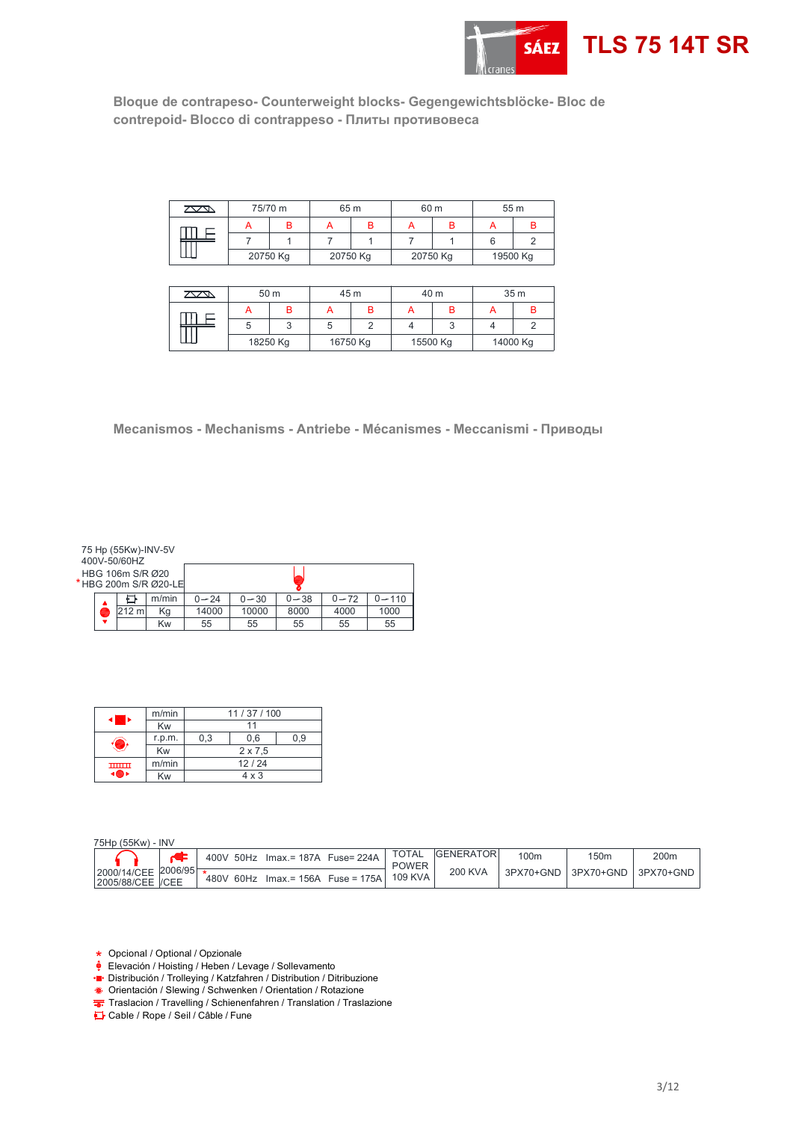

**Bloque de contrapeso- Counterweight blocks- Gegengewichtsblöcke- Bloc de contrepoid- Blocco di contrappeso - Плиты противовесa** 

| $\sqrt{2}$ | 75/70 m  |   | 65 m     |  |          | 60 m | 55 m     |  |  |
|------------|----------|---|----------|--|----------|------|----------|--|--|
|            |          | R |          |  |          |      |          |  |  |
|            |          |   |          |  |          |      |          |  |  |
|            | 20750 Kg |   | 20750 Kg |  | 20750 Kg |      | 19500 Kg |  |  |

| $\mathbb{Z}$ | 50 m     |  | 45 m     |  | 40 m     |  | 35 <sub>m</sub> |  |  |
|--------------|----------|--|----------|--|----------|--|-----------------|--|--|
|              |          |  |          |  |          |  |                 |  |  |
|              |          |  |          |  |          |  |                 |  |  |
|              | 18250 Kg |  | 16750 Kg |  | 15500 Kg |  | 14000 Kg        |  |  |

**Mecanismos - Mechanisms - Antriebe - Mécanismes - Meccanismi - Приводы** 

|  | 75 Hp (55Kw)-INV-5V<br>400V-50/60HZ<br>HBG 106m S/R Ø20 | *HBG 200m S/R Ø20-LE |          |          |          |          |           |
|--|---------------------------------------------------------|----------------------|----------|----------|----------|----------|-----------|
|  |                                                         | m/min                | $0 - 24$ | $0 - 30$ | $0 - 38$ | $0 - 72$ | $0 - 110$ |
|  | 212 m                                                   | Κg                   | 14000    | 10000    | 8000     | 4000     | 1000      |
|  |                                                         | Kw                   | 55       | 55       | 55       | 55       | 55        |

|              | m/min  | 11/37/100      |       |     |  |  |  |  |  |
|--------------|--------|----------------|-------|-----|--|--|--|--|--|
|              | Kw     | 11             |       |     |  |  |  |  |  |
|              | r.p.m. | 0.3            | 0.6   | 0.9 |  |  |  |  |  |
|              | Kw     | $2 \times 7.5$ |       |     |  |  |  |  |  |
| <b>THEFT</b> | m/min  |                | 12/24 |     |  |  |  |  |  |
|              | Kw     | $4 \times 3$   |       |     |  |  |  |  |  |

| 75Hp (55Kw) - INV                        |  |  |                                    |  |                         |                   |                  |                  |                     |
|------------------------------------------|--|--|------------------------------------|--|-------------------------|-------------------|------------------|------------------|---------------------|
|                                          |  |  | 400V 50Hz Imax. = 187A Fuse = 224A |  | <b>TOTAL</b>            | <b>IGENERATOR</b> | 100 <sub>m</sub> | 150 <sub>m</sub> | 200 <sub>m</sub>    |
| 2000/14/CEE 2006/95<br>2005/88/CEE  /CEE |  |  | 480V 60Hz Imax. = 156A Fuse = 175A |  | <b>POWER</b><br>109 KVA | 200 KVA           | 3PX70+GND        |                  | 3PX70+GND 3PX70+GND |

Opcional / Optional / Opzionale \*

- Elevación / Hoisting / Heben / Levage / Sollevamento
- Distribución / Trolleying / Katzfahren / Distribution / Ditribuzione
- Orientación / Slewing / Schwenken / Orientation / Rotazione
- Traslacion / Travelling / Schienenfahren / Translation / Traslazione

Cable / Rope / Seil / Câble / Fune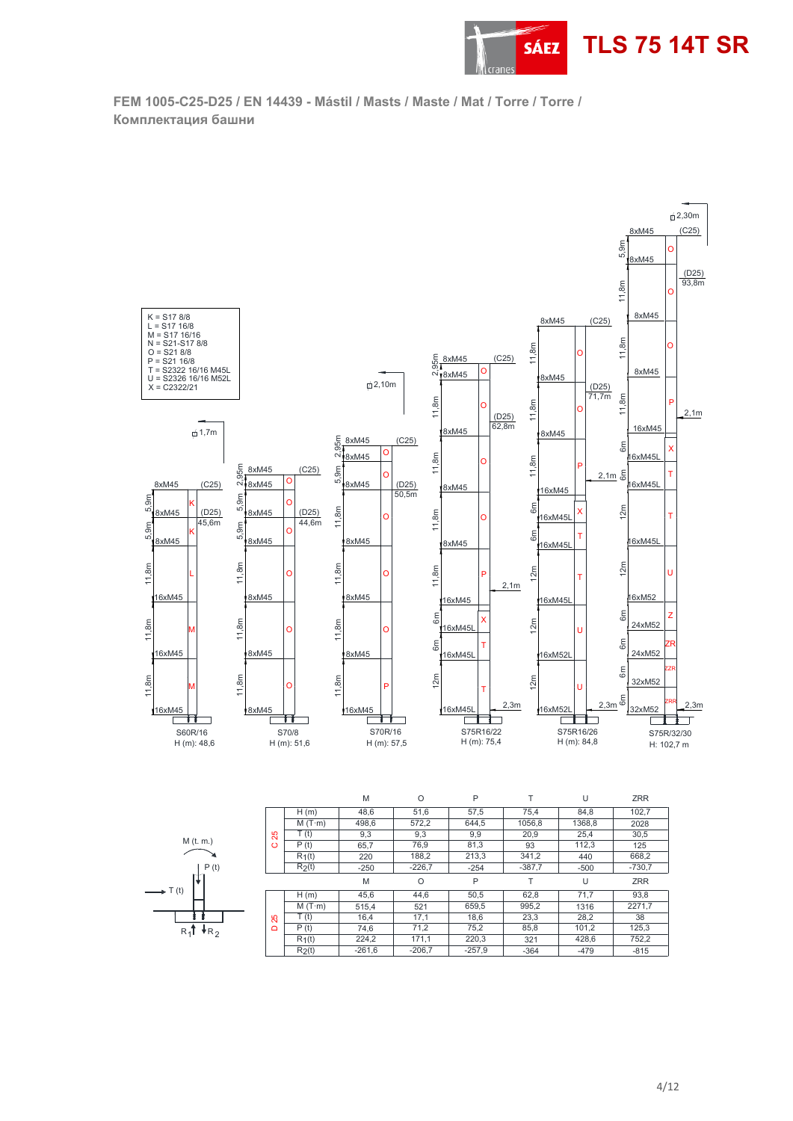

**FEM 1005-C25-D25 / EN 14439 - Mástil / Masts / Maste / Mat / Torre / Torre / Комплектaция башни** 



|                        |                           |                    | M        |          | D        |        |        | <b>ZRR</b> |
|------------------------|---------------------------|--------------------|----------|----------|----------|--------|--------|------------|
|                        |                           | H(m)               | 45,6     | 44,6     | 50,5     | 62,8   | 71.7   | 93,8       |
|                        |                           | $M(T \cdot m)$     | 515.4    | 521      | 659,5    | 995,2  | 1316   | 2271,7     |
|                        | Ю<br>$\mathbf{\tilde{N}}$ | T(t)               | 16,4     | 17.1     | 18,6     | 23,3   | 28,2   | 38         |
| R4T<br>†R <sub>o</sub> | $\Omega$                  | P(t)               | 74.6     | 71,2     | 75,2     | 85,8   | 101,2  | 125,3      |
|                        |                           | $R_1(t)$           | 224.2    | 171.1    | 220,3    | 321    | 428.6  | 752,2      |
|                        |                           | R <sub>2</sub> (t) | $-261,6$ | $-206,7$ | $-257.9$ | $-364$ | $-479$ | $-815$     |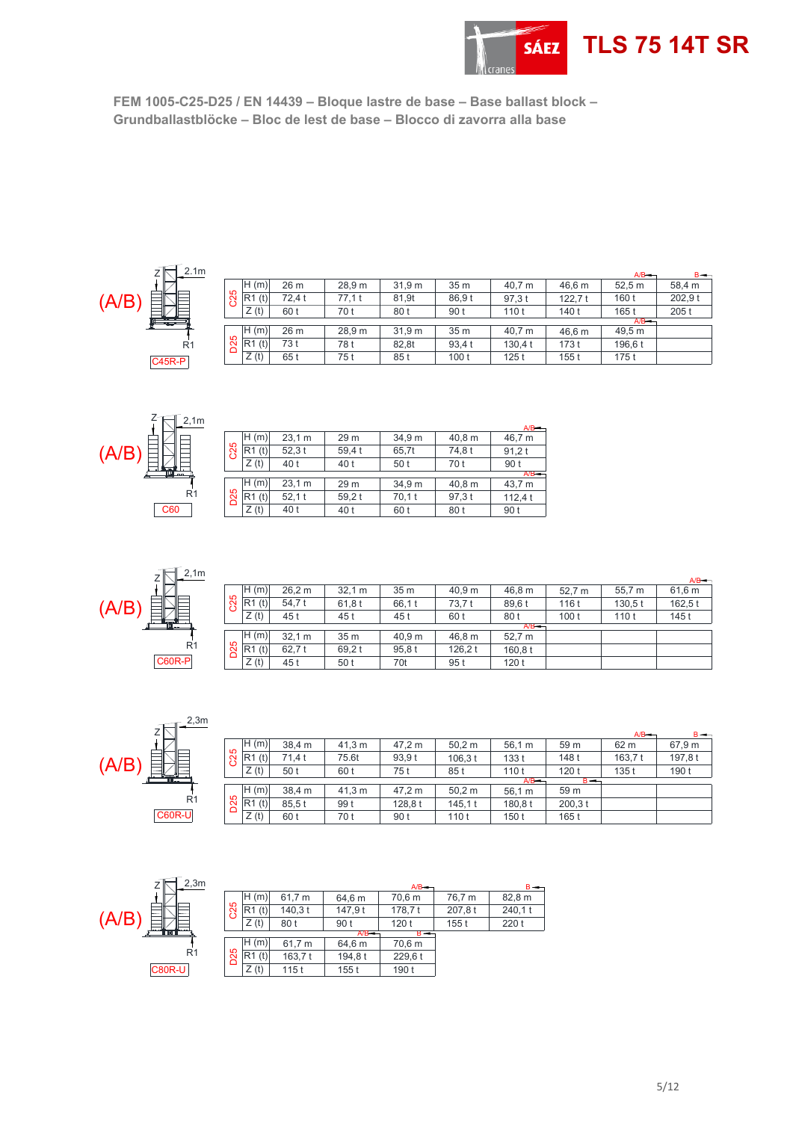

**FEM 1005-C25-D25 / EN 14439 – Bloque lastre de base – Base ballast block – Grundballastblöcke – Bloc de lest de base – Blocco di zavorra alla base** 



|                 |            |        |                   |        |                  |         |           | A/B     | $B \rightarrow$ |
|-----------------|------------|--------|-------------------|--------|------------------|---------|-----------|---------|-----------------|
|                 | H(m)       | 26 m   | 28.9 <sub>m</sub> | 31.9 m | 35 <sub>m</sub>  | 40.7 m  | 46.6 m    | 52.5 m  | 58.4 m          |
| C <sub>25</sub> | IR1<br>(t) | 72.4 t | 77.1 t            | 81.9t  | 86.9t            | 97.3t   | 122.7 $t$ | 160 t   | 202.9 t         |
|                 | Z(t)       | 60 t   | 70 t              | 80 t   | 90 t             | 110t    | 140 t     | 165 t   | 205t            |
|                 |            |        |                   |        |                  |         |           | A/B     |                 |
|                 | H(m)       | 26 m   | 28.9 m            | 31.9 m | 35 <sub>m</sub>  | 40.7 m  | 46.6 m    | 49.5 m  |                 |
| 5<br>S          | R1(t)      | 73 t   | 78 t              | 82.8t  | 93.4 t           | 130.4 t | 173 t     | 196.6 t |                 |
|                 | Z(t)       | 65 t   | 75 t              | 85 t   | 100 <sub>t</sub> | 125t    | 155t      | 175t    |                 |



|            |          |          |       |        |        | $A/B =$ |
|------------|----------|----------|-------|--------|--------|---------|
|            | н<br>(m) | 23,1 m   | 29 m  | 34,9 m | 40,8 m | 46,7 m  |
| 35         | (t)      | 52.3t    | 59,4t | 65,7t  | 74,8t  | 91,2 t  |
|            | Z(t)     | 40 t     | 40 t  | 50 t   | 70 t   | 90 t    |
|            |          |          |       |        |        | $A/B =$ |
|            | (m)      | 23.1 m   | 29 m  | 34,9 m | 40,8 m | 43.7 m  |
| <b>D25</b> | (t)      | $52,1$ t | 59.2t | 70.1 t | 97.3 t | 112,4t  |
|            | Z(t)     | 40 t     | 40 t  | 60 t   | 80 t   | 90 t    |



|                 |          |        |                 |                 |         |         |                  |         | $A/B -$ |
|-----------------|----------|--------|-----------------|-----------------|---------|---------|------------------|---------|---------|
|                 | H(m)     | 26.2 m | 32.1 m          | 35 <sub>m</sub> | 40.9 m  | 46,8 m  | 52.7 m           | 55.7 m  | 61.6 m  |
| C25             | $R1$ (t) | 54.7 t | 61,8t           | 66.1 t          | 73,7t   | 89.6 t  | 116 t            | 130.5 t | 162.5t  |
|                 | Z(t)     | 45 t   | 45 t            | 45 t            | 60 t    | 80 t    | 100 <sub>t</sub> | 110t    | 145 t   |
|                 |          |        |                 |                 |         | $A/B$ – |                  |         |         |
|                 | H(m)     | 32.1 m | 35 <sub>m</sub> | 40.9 m          | 46.8 m  | 52.7 m  |                  |         |         |
| D <sub>25</sub> | R1(t)    | 62.7t  | 69.2 t          | 95.8t           | 126.2 t | 160.8 t |                  |         |         |
|                 | Z(t)     | 45 t   | 50 t            | 70t             | 95 t    | 120t    |                  |         |         |

| (A/B) | $-2,3m$<br>Ζ<br>R <sub>1</sub> |
|-------|--------------------------------|
|       | <b>C60R-U</b>                  |

|     |       |        |        |         |         |         |                 | $A/B$ $-$ | $B \rightarrow$ |
|-----|-------|--------|--------|---------|---------|---------|-----------------|-----------|-----------------|
|     | H(m)  | 38.4 m | 41,3 m | 47.2 m  | 50,2 m  | 56.1 m  | 59 m            | 62 m      | 67,9 m          |
| C25 | R1(t) | 71.4 t | 75.6t  | 93.9 t  | 106.3 t | 133t    | 148 t           | 163.7t    | 197,8t          |
|     | Z(t)  | 50 t   | 60 t   | 75 t    | 85 t    | 110t    | 120t            | 135t      | 190 t           |
|     |       |        |        |         |         | A/B     | $B \rightarrow$ |           |                 |
| D25 | H(m)  | 38.4 m | 41.3 m | 47.2 m  | 50.2 m  | 56.1 m  | 59 m            |           |                 |
|     | R1(t) | 85.5t  | 99 t   | 128.8 t | 145.1t  | 180.8 t | 200.3 t         |           |                 |
|     | Z(t)  | 60 t   | 70 t   | 90 t    | 110t    | 150t    | 165 t           |           |                 |



|     |      |         |         | $A/B -$ |        | $B \rightarrow$ |
|-----|------|---------|---------|---------|--------|-----------------|
|     | H(m) | 61,7 m  | 64,6 m  | 70,6 m  | 76,7 m | 82,8 m          |
| C25 | (t)  | 140.3 t | 147,9t  | 178,7t  | 207,8t | 240,1t          |
|     | Z(t) | 80 t    | 90 t    | 120t    | 155t   | 220 t           |
|     |      |         | $A/B =$ | $B -$   |        |                 |
|     | H(m) | 61.7 m  | 64.6 m  | 70,6 m  |        |                 |
| D25 | (t)  | 163,7t  | 194.8 t | 229,6t  |        |                 |
|     | Z(t) | 115 t   | 155t    | 190 t   |        |                 |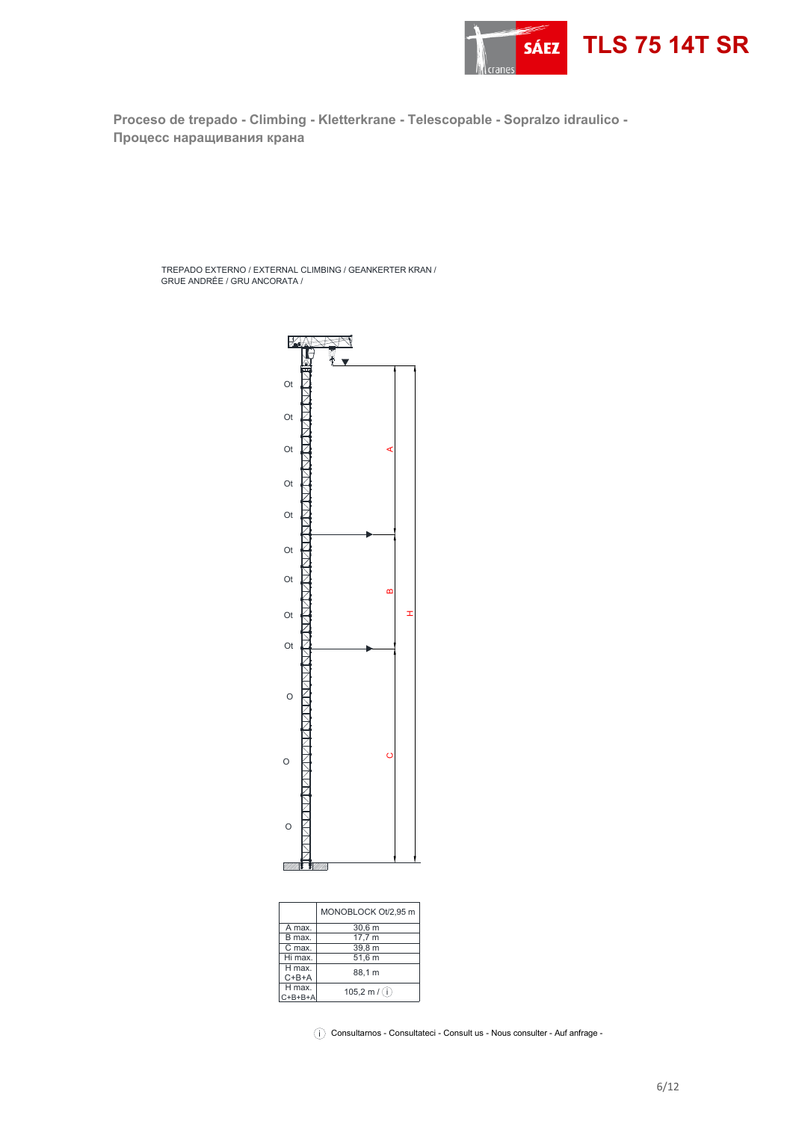

**Proceso de trepado - Climbing - Kletterkrane - Telescopable - Sopralzo idraulico - Процесс наращивания крана** 

TREPADO EXTERNO / EXTERNAL CLIMBING / GEANKERTER KRAN / GRUE ANDRÉE / GRU ANCORATA /



|                           | MONOBLOCK Ot/2.95 m  |
|---------------------------|----------------------|
| A max.                    | $30,6$ m             |
| B max.                    | 17,7 m               |
| C max.                    | 39.8 m               |
| Hi max.                   | 51.6 m               |
| H max.<br>$C+B+A$         | 88.1 m               |
| H max.<br>$C + B + B + A$ | 105,2 m $/(\hat{i})$ |
|                           |                      |

 $\widehat{\left\langle i\right\rangle }$  Consultarnos - Consultateci - Consult us - Nous consulter - Auf anfrage -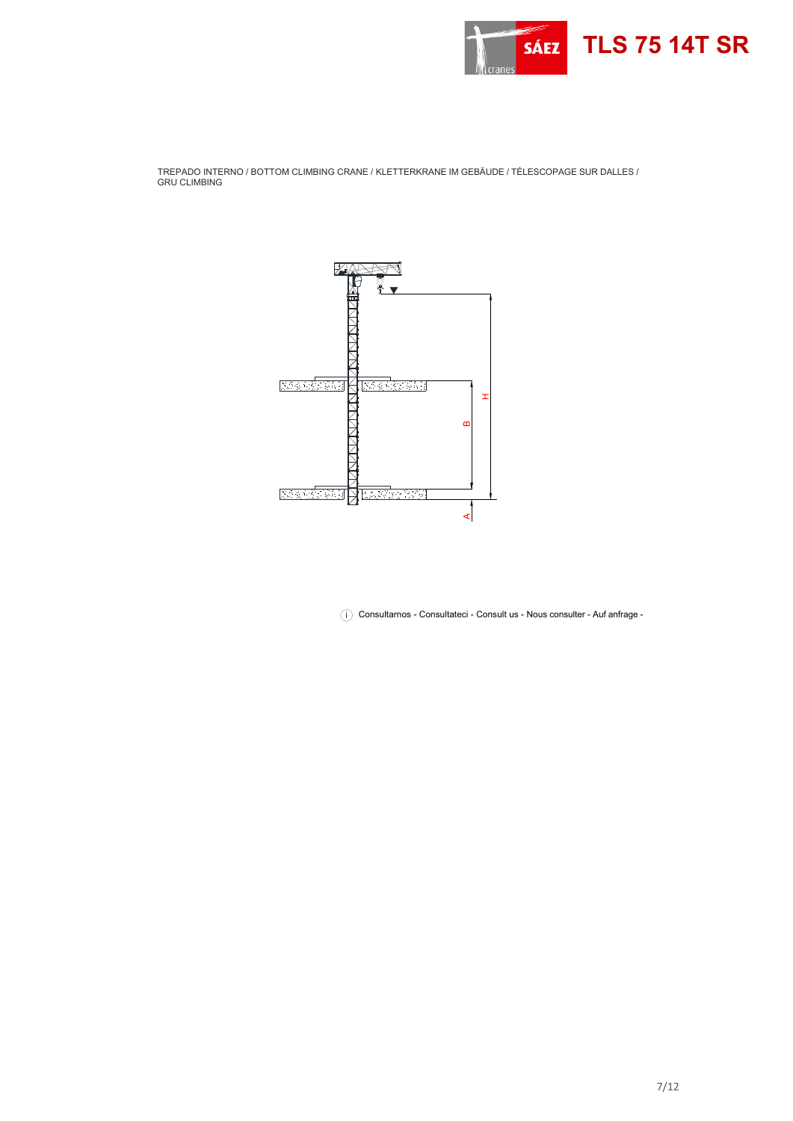

TREPADO INTERNO / BOTTOM CLIMBING CRANE / KLETTERKRANE IM GEBÄUDE / TÉLESCOPAGE SUR DALLES / GRU CLIMBING



 $\binom{1}{k}$  Consultarnos - Consultateci - Consult us - Nous consulter - Auf anfrage -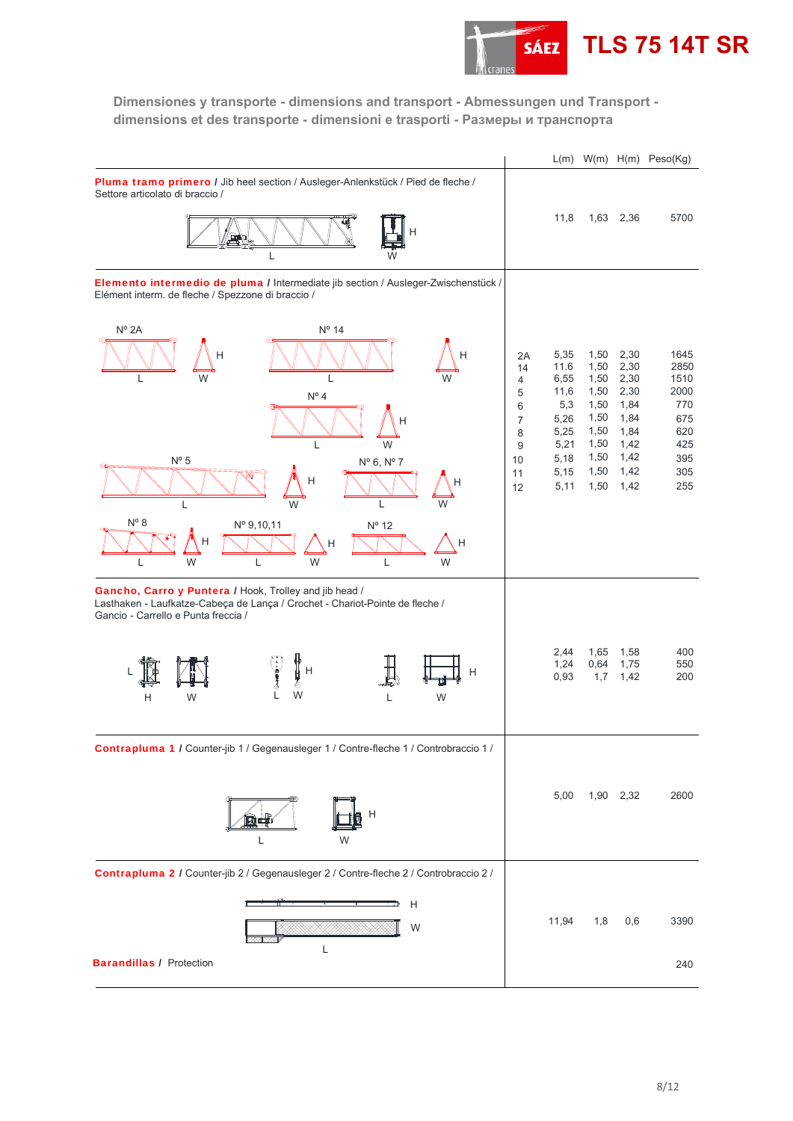

**Dimensiones y transporte - dimensions and transport - Abmessungen und Transport dimensions et des transporte - dimensioni e trasporti - Размеры и транспорта** 

|                                                                                                                                                                                                                              |                                                                                    | L(m)                                                                                |                                                                                      |                                                                                      | $W(m)$ H(m) Peso(Kg)                                                          |
|------------------------------------------------------------------------------------------------------------------------------------------------------------------------------------------------------------------------------|------------------------------------------------------------------------------------|-------------------------------------------------------------------------------------|--------------------------------------------------------------------------------------|--------------------------------------------------------------------------------------|-------------------------------------------------------------------------------|
| Pluma tramo primero / Jib heel section / Ausleger-Anlenkstück / Pied de fleche /<br>Settore articolato di braccio /                                                                                                          |                                                                                    |                                                                                     |                                                                                      |                                                                                      | 5700                                                                          |
| L                                                                                                                                                                                                                            |                                                                                    | 11,8                                                                                | 1,63                                                                                 | 2,36                                                                                 |                                                                               |
| Elemento intermedio de pluma / Intermediate jib section / Ausleger-Zwischenstück /<br>Elément interm. de fleche / Spezzone di braccio /                                                                                      |                                                                                    |                                                                                     |                                                                                      |                                                                                      |                                                                               |
| $N^{\circ}$ 2A<br>Nº 14<br>н<br>W<br>W<br>L<br>$N^{\circ}$ 4<br>L<br>W<br>$N^{\circ}$ 5<br>Nº 6, Nº 7<br>Н<br>W<br>L<br>W<br>L<br>$N^{\circ}$ 8<br>$N^{\circ}$ 12<br>Nº 9,10,11<br>Н<br>H<br>Н<br>W<br>W<br>L<br>W<br>L<br>L | 2A<br>14<br>$\overline{4}$<br>5<br>6<br>$\overline{7}$<br>8<br>9<br>10<br>11<br>12 | 5,35<br>11.6<br>6,55<br>11,6<br>5,3<br>5,26<br>5,25<br>5,21<br>5,18<br>5,15<br>5,11 | 1,50<br>1,50<br>1,50<br>1,50<br>1,50<br>1,50<br>1,50<br>1,50<br>1,50<br>1,50<br>1,50 | 2,30<br>2,30<br>2,30<br>2,30<br>1,84<br>1,84<br>1,84<br>1,42<br>1,42<br>1,42<br>1,42 | 1645<br>2850<br>1510<br>2000<br>770<br>675<br>620<br>425<br>395<br>305<br>255 |
| Gancho, Carro y Puntera / Hook, Trolley and jib head /<br>Lasthaken - Laufkatze-Cabeça de Lança / Crochet - Chariot-Pointe de fleche /<br>Gancio - Carrello e Punta freccia /                                                |                                                                                    |                                                                                     |                                                                                      |                                                                                      |                                                                               |
| H<br>Η<br>H<br>P<br>W<br>W<br>W<br>Н<br>L                                                                                                                                                                                    |                                                                                    | 2,44<br>1,24<br>0,93                                                                | 1,65<br>0,64<br>1,7                                                                  | 1,58<br>1,75<br>1,42                                                                 | 400<br>550<br>200                                                             |
| Contrapluma 1 / Counter-jib 1 / Gegenausleger 1 / Contre-fleche 1 / Controbraccio 1 /                                                                                                                                        |                                                                                    |                                                                                     |                                                                                      |                                                                                      |                                                                               |
| Η                                                                                                                                                                                                                            |                                                                                    | 5,00                                                                                |                                                                                      | 1,90 2,32                                                                            | 2600                                                                          |
| Contrapluma 2 / Counter-jib 2 / Gegenausleger 2 / Contre-fleche 2 / Controbraccio 2 /                                                                                                                                        |                                                                                    |                                                                                     |                                                                                      |                                                                                      |                                                                               |
| Н<br>ஊ<br>W                                                                                                                                                                                                                  |                                                                                    | 11,94                                                                               | 1,8                                                                                  | 0,6                                                                                  | 3390                                                                          |
| L<br><b>Barandillas / Protection</b>                                                                                                                                                                                         |                                                                                    |                                                                                     |                                                                                      |                                                                                      | 240                                                                           |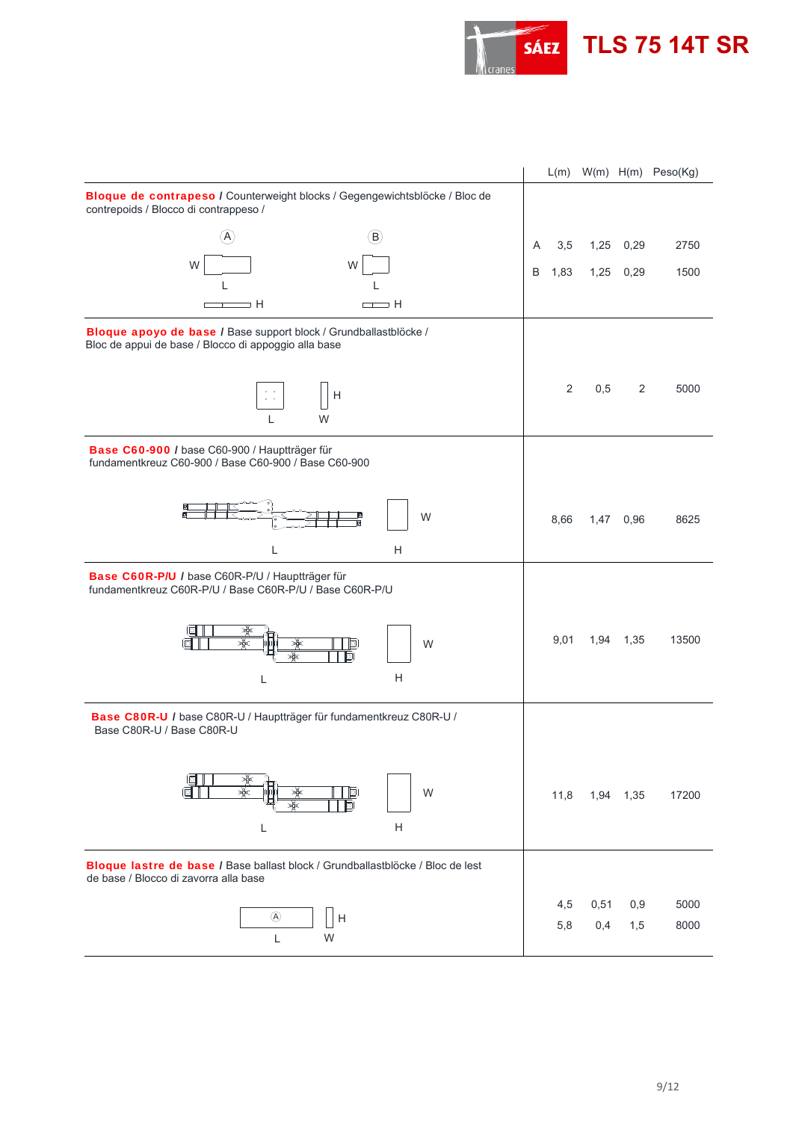

|                                                                                                                                |   |      |      |      | L(m) W(m) H(m) Peso(Kg) |
|--------------------------------------------------------------------------------------------------------------------------------|---|------|------|------|-------------------------|
| Bloque de contrapeso / Counterweight blocks / Gegengewichtsblöcke / Bloc de<br>contrepoids / Blocco di contrappeso /           |   |      |      |      |                         |
| $\left(\mathsf{B}\right)$<br>$\mathsf{A}$                                                                                      | A | 3,5  | 1,25 | 0,29 | 2750                    |
| W<br>W                                                                                                                         | B | 1,83 | 1,25 | 0,29 | 1500                    |
|                                                                                                                                |   |      |      |      |                         |
| ⇒H<br>$\Box$ $\Box$ $\Box$<br>┳                                                                                                |   |      |      |      |                         |
| Bloque apoyo de base / Base support block / Grundballastblöcke /<br>Bloc de appui de base / Blocco di appoggio alla base       |   |      |      |      |                         |
|                                                                                                                                |   | 2    | 0,5  | 2    | 5000                    |
| H<br>$\ddot{\bullet} = \dot{\bullet}$<br>W                                                                                     |   |      |      |      |                         |
| Base C60-900 / base C60-900 / Hauptträger für<br>fundamentkreuz C60-900 / Base C60-900 / Base C60-900                          |   |      |      |      |                         |
| Q<br>同<br>E<br>W                                                                                                               |   | 8,66 | 1,47 | 0,96 | 8625                    |
| H<br>L                                                                                                                         |   |      |      |      |                         |
| Base C60R-P/U / base C60R-P/U / Hauptträger für<br>fundamentkreuz C60R-P/U / Base C60R-P/U / Base C60R-P/U                     |   |      |      |      |                         |
| 耍<br>∗<br> ○<br>W<br>₩<br>Гō                                                                                                   |   | 9,01 | 1,94 | 1,35 | 13500                   |
| H<br>L                                                                                                                         |   |      |      |      |                         |
| Base C80R-U / base C80R-U / Hauptträger für fundamentkreuz C80R-U /<br>Base C80R-U / Base C80R-U                               |   |      |      |      |                         |
| d)<br>W<br>ां                                                                                                                  |   | 11,8 | 1,94 | 1,35 | 17200                   |
| Η<br>L                                                                                                                         |   |      |      |      |                         |
| <b>Bloque lastre de base / Base ballast block / Grundballastblöcke / Bloc de lest</b><br>de base / Blocco di zavorra alla base |   |      |      |      |                         |
| $^{\circledR}$<br>$\mathsf{H}$                                                                                                 |   | 4,5  | 0,51 | 0,9  | 5000                    |
| W<br>L                                                                                                                         |   | 5,8  | 0,4  | 1,5  | 8000                    |
|                                                                                                                                |   |      |      |      |                         |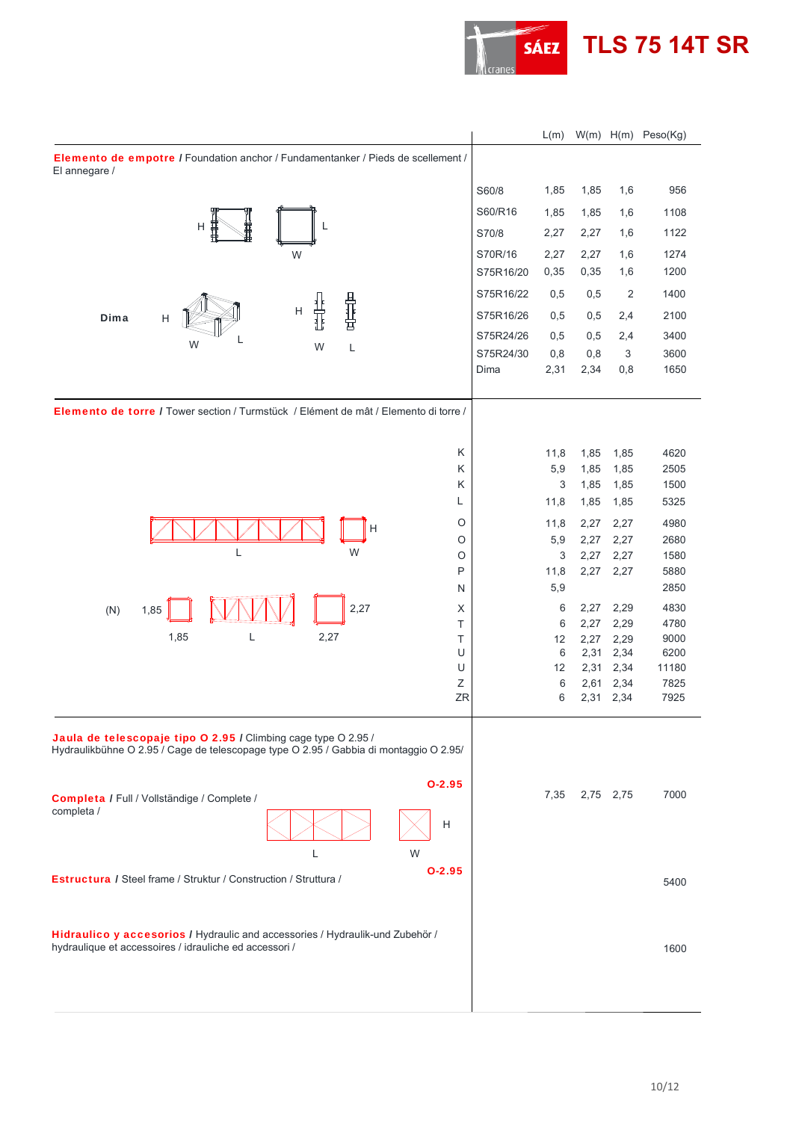

**TLS 75 14T SR**

|                                                                                                                                                         |           | L(m)    |              |                | W(m) H(m) Peso(Kg) |
|---------------------------------------------------------------------------------------------------------------------------------------------------------|-----------|---------|--------------|----------------|--------------------|
| Elemento de empotre / Foundation anchor / Fundamentanker / Pieds de scellement /<br>El annegare /                                                       |           |         |              |                |                    |
|                                                                                                                                                         | S60/8     | 1,85    | 1,85         | 1,6            | 956                |
|                                                                                                                                                         | S60/R16   | 1,85    | 1,85         | 1,6            | 1108               |
| н<br>L                                                                                                                                                  | S70/8     | 2,27    | 2,27         | 1,6            | 1122               |
| W                                                                                                                                                       | S70R/16   | 2,27    | 2,27         | 1,6            | 1274               |
|                                                                                                                                                         | S75R16/20 | 0,35    | 0,35         | 1,6            | 1200               |
|                                                                                                                                                         | S75R16/22 | 0,5     | 0,5          | $\overline{2}$ | 1400               |
| 骨基层<br>н<br>Dima<br>H                                                                                                                                   | S75R16/26 | 0,5     | 0,5          | 2,4            | 2100               |
| W                                                                                                                                                       | S75R24/26 | 0,5     | 0,5          | 2,4            | 3400               |
| L<br>W                                                                                                                                                  | S75R24/30 | 0,8     | 0,8          | 3              | 3600               |
|                                                                                                                                                         | Dima      | 2,31    | 2,34         | 0,8            | 1650               |
| <b>Elemento de torre / Tower section / Turmstück / Elément de mât / Elemento di torre /</b>                                                             |           |         |              |                |                    |
| Κ                                                                                                                                                       |           | 11,8    | 1,85         | 1,85           | 4620               |
| Κ                                                                                                                                                       |           | 5,9     | 1,85         | 1,85           | 2505               |
| Κ                                                                                                                                                       |           | 3       | 1,85         | 1,85           | 1500               |
| L                                                                                                                                                       |           | 11,8    | 1,85         | 1,85           | 5325               |
| O<br>Н                                                                                                                                                  |           | 11,8    | 2,27         | 2,27           | 4980               |
| $\circ$                                                                                                                                                 |           | 5,9     | 2,27         | 2,27           | 2680               |
| L<br>W<br>$\circ$                                                                                                                                       |           | 3       | 2,27         | 2,27           | 1580               |
| P                                                                                                                                                       |           | 11,8    | 2,27         | 2,27           | 5880               |
| N                                                                                                                                                       |           | 5,9     |              |                | 2850               |
| 2,27<br>X<br>(N)<br>1,85                                                                                                                                |           | 6       | 2,27         | 2,29           | 4830               |
| Τ                                                                                                                                                       |           | 6       | 2,27         | 2,29           | 4780               |
| 2,27<br>1,85<br>L<br>$\top$<br>U                                                                                                                        |           | 12<br>6 | 2,27<br>2,31 | 2,29           | 9000               |
| U                                                                                                                                                       |           | 12      | 2,31         | 2,34<br>2,34   | 6200<br>11180      |
| $\mathsf Z$                                                                                                                                             |           | 6       | 2,61         | 2,34           | 7825               |
| ZR                                                                                                                                                      |           | 6       | 2,31         | 2,34           | 7925               |
| Jaula de telescopaje tipo O 2.95 / Climbing cage type O 2.95 /<br>Hydraulikbühne O 2.95 / Cage de telescopage type O 2.95 / Gabbia di montaggio O 2.95/ |           |         |              |                |                    |
| $O-2.95$                                                                                                                                                |           | 7,35    |              | 2,75 2,75      | 7000               |
| Completa / Full / Vollständige / Complete /<br>completa /<br>н<br>W<br>L                                                                                |           |         |              |                |                    |
| $O-2.95$<br><b>Estructura / Steel frame / Struktur / Construction / Struttura /</b>                                                                     |           |         |              |                | 5400               |
| Hidraulico y accesorios / Hydraulic and accessories / Hydraulik-und Zubehör /<br>hydraulique et accessoires / idrauliche ed accessori /                 |           |         |              |                | 1600               |
|                                                                                                                                                         |           |         |              |                |                    |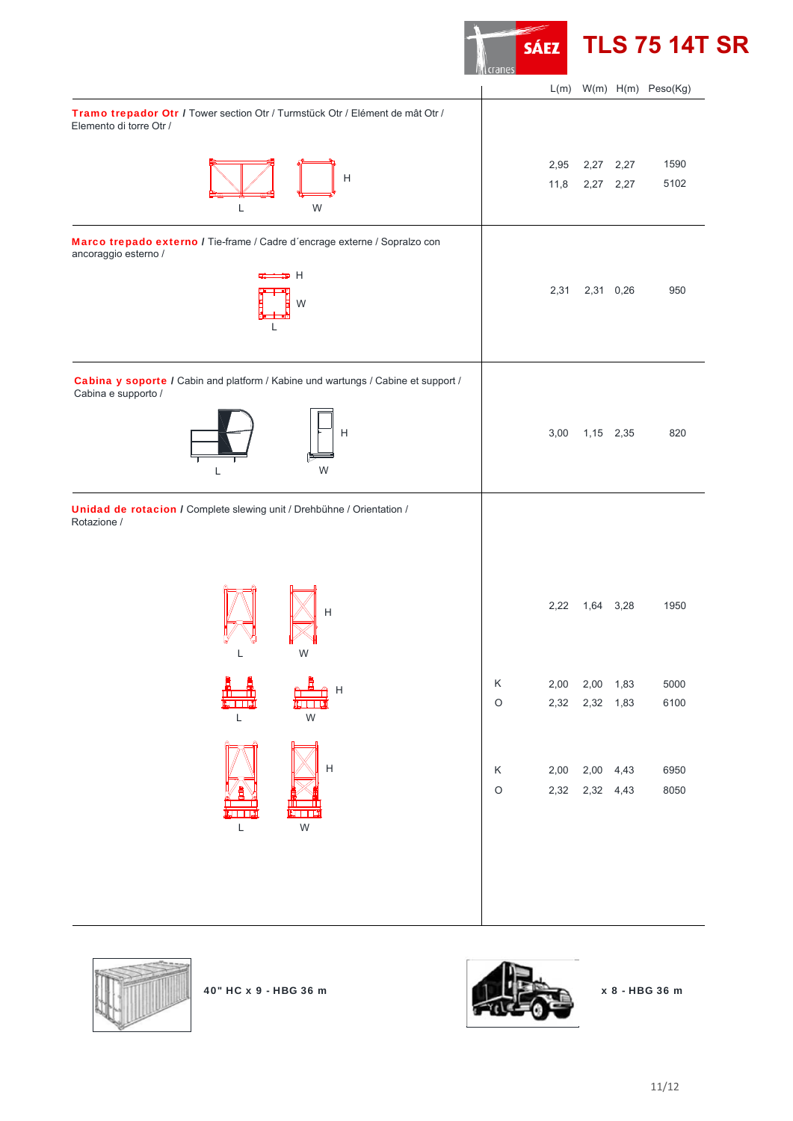

**TLS 75 14T SR**

|                                                                                                          |             |      |                | $L(m)$ W(m) $H(m)$ Peso(Kg) |
|----------------------------------------------------------------------------------------------------------|-------------|------|----------------|-----------------------------|
| Tramo trepador Otr / Tower section Otr / Turmstück Otr / Elément de mât Otr /<br>Elemento di torre Otr / |             |      |                |                             |
|                                                                                                          |             | 2,95 | 2,27 2,27      | 1590                        |
| $\mathsf{H}$                                                                                             |             | 11,8 | 2,27 2,27      | 5102                        |
| W<br>L                                                                                                   |             |      |                |                             |
| Marco trepado externo / Tie-frame / Cadre d'encrage externe / Sopralzo con<br>ancoraggio esterno /       |             |      |                |                             |
| ⇒ н                                                                                                      |             |      |                |                             |
| W                                                                                                        |             | 2,31 | 2,31 0,26      | 950                         |
| L                                                                                                        |             |      |                |                             |
|                                                                                                          |             |      |                |                             |
| Cabina y soporte / Cabin and platform / Kabine und wartungs / Cabine et support /<br>Cabina e supporto / |             |      |                |                             |
|                                                                                                          |             |      |                |                             |
| H                                                                                                        |             | 3,00 | 1,15 2,35      | 820                         |
| W<br>L                                                                                                   |             |      |                |                             |
|                                                                                                          |             |      |                |                             |
| Unidad de rotacion / Complete slewing unit / Drehbühne / Orientation /<br>Rotazione /                    |             |      |                |                             |
|                                                                                                          |             |      |                |                             |
|                                                                                                          |             |      |                |                             |
| Н                                                                                                        |             | 2,22 | 1,64 3,28      | 1950                        |
|                                                                                                          |             |      |                |                             |
| W                                                                                                        |             |      |                |                             |
| A<br>昌                                                                                                   | Κ           |      | 2,00 2,00 1,83 | 5000                        |
| <del>゚</del><br>▓▓▓▓<br><u>fini</u>                                                                      | $\circ$     |      | 2,32 2,32 1,83 | 6100                        |
| $\mathsf L$<br>${\sf W}$                                                                                 |             |      |                |                             |
|                                                                                                          |             |      |                |                             |
| $\mathsf{H}$                                                                                             | $\mathsf K$ |      | 2,00 2,00 4,43 | 6950                        |
|                                                                                                          | $\circ$     |      | 2,32 2,32 4,43 | 8050                        |
|                                                                                                          |             |      |                |                             |
| W<br>L                                                                                                   |             |      |                |                             |
|                                                                                                          |             |      |                |                             |
|                                                                                                          |             |      |                |                             |
|                                                                                                          |             |      |                |                             |
|                                                                                                          |             |      |                |                             |